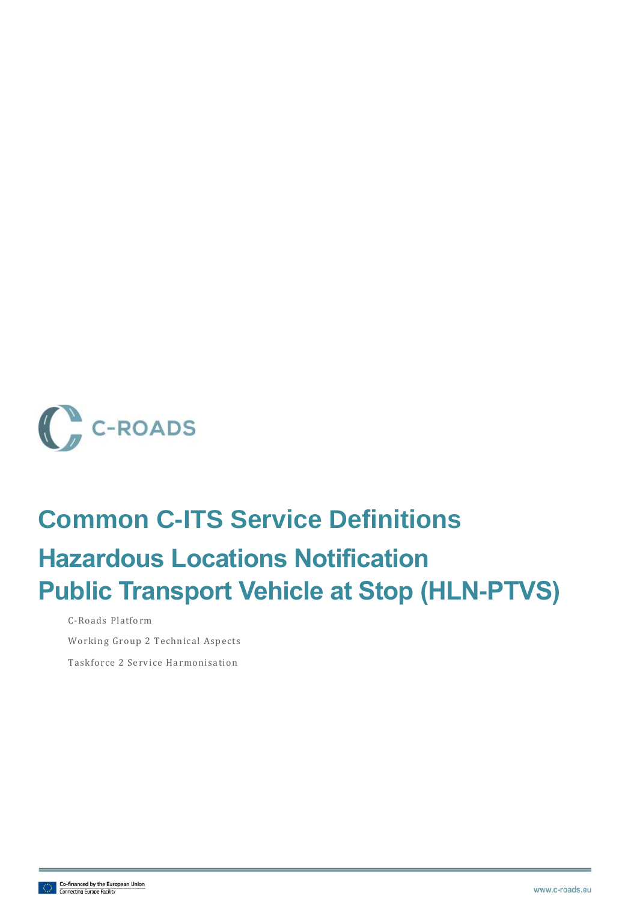

# **Common C-ITS Service Definitions Hazardous Locations Notification Public Transport Vehicle at Stop (HLN-PTVS)**

C-Roads Platform

Working Group 2 Technical Aspects

Taskforce 2 Service Harmonisation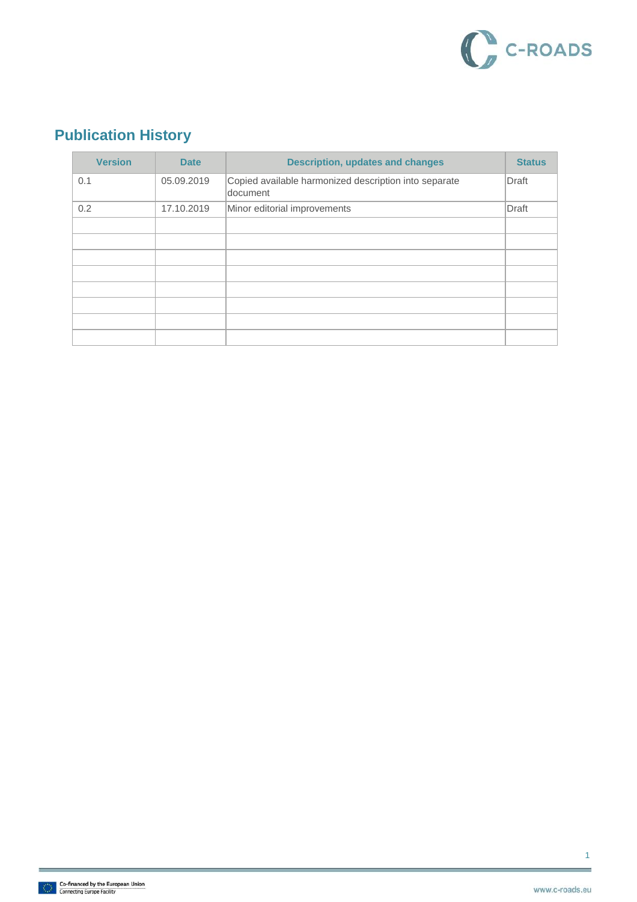

### **Publication History**

| <b>Version</b> | <b>Date</b> | <b>Description, updates and changes</b>                           | <b>Status</b> |
|----------------|-------------|-------------------------------------------------------------------|---------------|
| 0.1            | 05.09.2019  | Copied available harmonized description into separate<br>document | <b>Draft</b>  |
| 0.2            | 17.10.2019  | Minor editorial improvements                                      | <b>Draft</b>  |
|                |             |                                                                   |               |
|                |             |                                                                   |               |
|                |             |                                                                   |               |
|                |             |                                                                   |               |
|                |             |                                                                   |               |
|                |             |                                                                   |               |
|                |             |                                                                   |               |
|                |             |                                                                   |               |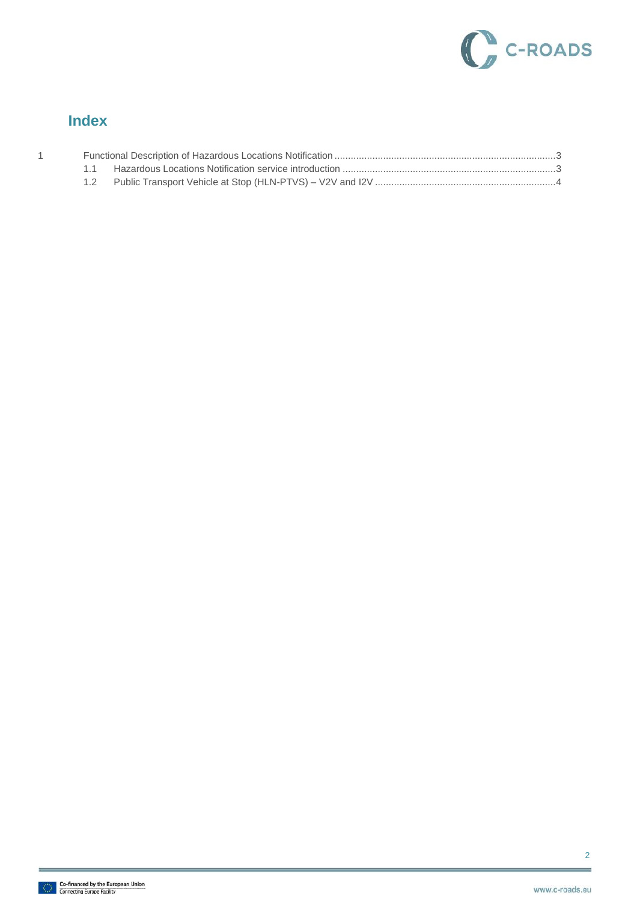

#### **Index**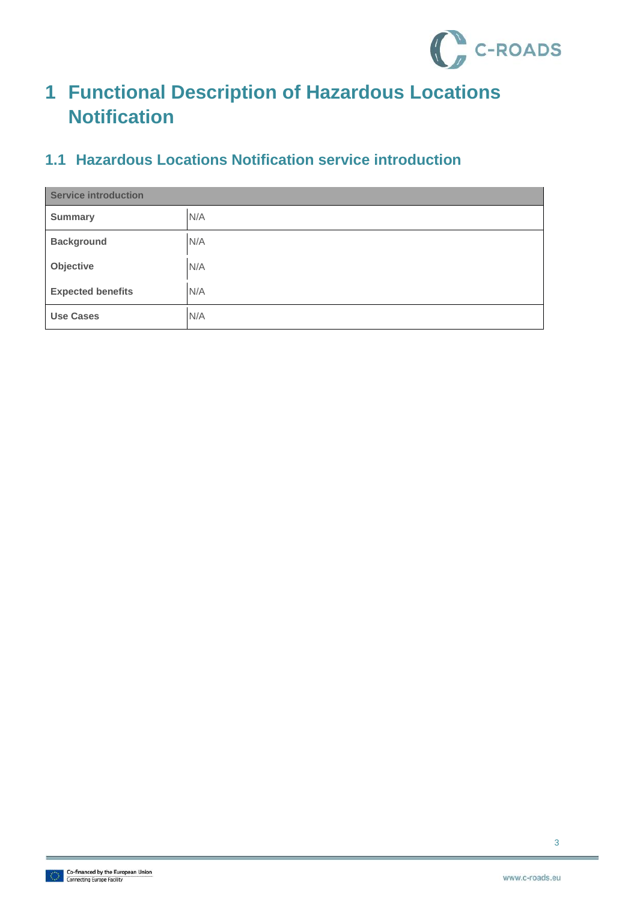

## <span id="page-3-0"></span>**1 Functional Description of Hazardous Locations Notification**

#### <span id="page-3-1"></span>**1.1 Hazardous Locations Notification service introduction**

| <b>Service introduction</b> |     |  |
|-----------------------------|-----|--|
| <b>Summary</b>              | N/A |  |
| <b>Background</b>           | N/A |  |
| Objective                   | N/A |  |
| <b>Expected benefits</b>    | N/A |  |
| <b>Use Cases</b>            | N/A |  |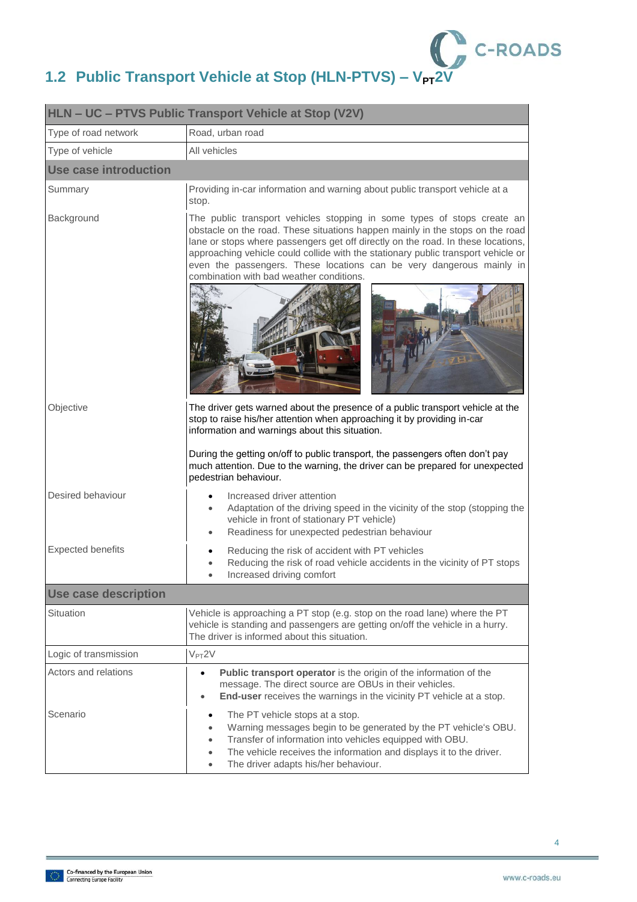

## <span id="page-4-0"></span>**1.2 Public Transport Vehicle at Stop (HLN-PTVS) – V<sub>PT</sub>2V**

| HLN - UC - PTVS Public Transport Vehicle at Stop (V2V) |                                                                                                                                                                                                                                                                                                                                                                                                                                                       |  |
|--------------------------------------------------------|-------------------------------------------------------------------------------------------------------------------------------------------------------------------------------------------------------------------------------------------------------------------------------------------------------------------------------------------------------------------------------------------------------------------------------------------------------|--|
| Type of road network                                   | Road, urban road                                                                                                                                                                                                                                                                                                                                                                                                                                      |  |
| Type of vehicle                                        | All vehicles                                                                                                                                                                                                                                                                                                                                                                                                                                          |  |
| Use case introduction                                  |                                                                                                                                                                                                                                                                                                                                                                                                                                                       |  |
| Summary                                                | Providing in-car information and warning about public transport vehicle at a<br>stop.                                                                                                                                                                                                                                                                                                                                                                 |  |
| Background                                             | The public transport vehicles stopping in some types of stops create an<br>obstacle on the road. These situations happen mainly in the stops on the road<br>lane or stops where passengers get off directly on the road. In these locations,<br>approaching vehicle could collide with the stationary public transport vehicle or<br>even the passengers. These locations can be very dangerous mainly in<br>combination with bad weather conditions. |  |
| Objective                                              | The driver gets warned about the presence of a public transport vehicle at the<br>stop to raise his/her attention when approaching it by providing in-car<br>information and warnings about this situation.                                                                                                                                                                                                                                           |  |
|                                                        | During the getting on/off to public transport, the passengers often don't pay<br>much attention. Due to the warning, the driver can be prepared for unexpected<br>pedestrian behaviour.                                                                                                                                                                                                                                                               |  |
| Desired behaviour                                      | Increased driver attention<br>Adaptation of the driving speed in the vicinity of the stop (stopping the<br>vehicle in front of stationary PT vehicle)<br>Readiness for unexpected pedestrian behaviour                                                                                                                                                                                                                                                |  |
| <b>Expected benefits</b>                               | Reducing the risk of accident with PT vehicles<br>Reducing the risk of road vehicle accidents in the vicinity of PT stops<br>Increased driving comfort                                                                                                                                                                                                                                                                                                |  |
| <b>Use case description</b>                            |                                                                                                                                                                                                                                                                                                                                                                                                                                                       |  |
| Situation                                              | Vehicle is approaching a PT stop (e.g. stop on the road lane) where the PT<br>vehicle is standing and passengers are getting on/off the vehicle in a hurry.<br>The driver is informed about this situation.                                                                                                                                                                                                                                           |  |
| Logic of transmission                                  | $V_{PT}2V$                                                                                                                                                                                                                                                                                                                                                                                                                                            |  |
| Actors and relations                                   | Public transport operator is the origin of the information of the<br>$\bullet$<br>message. The direct source are OBUs in their vehicles.<br>End-user receives the warnings in the vicinity PT vehicle at a stop.<br>$\bullet$                                                                                                                                                                                                                         |  |
| Scenario                                               | The PT vehicle stops at a stop.<br>$\bullet$<br>Warning messages begin to be generated by the PT vehicle's OBU.<br>$\bullet$<br>Transfer of information into vehicles equipped with OBU.<br>$\bullet$<br>The vehicle receives the information and displays it to the driver.<br>The driver adapts his/her behaviour.<br>$\bullet$                                                                                                                     |  |